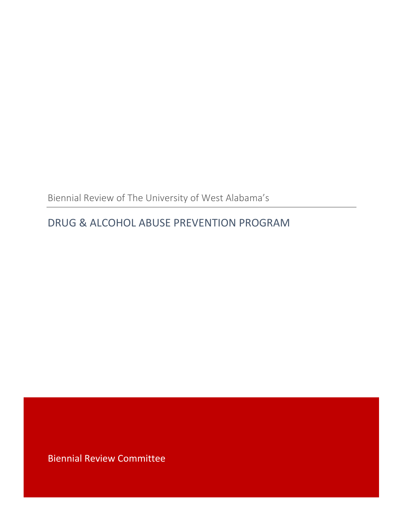Biennial Review of The University of West Alabama's

DRUG & ALCOHOL ABUSE PREVENTION PROGRAM

Biennial Review Committee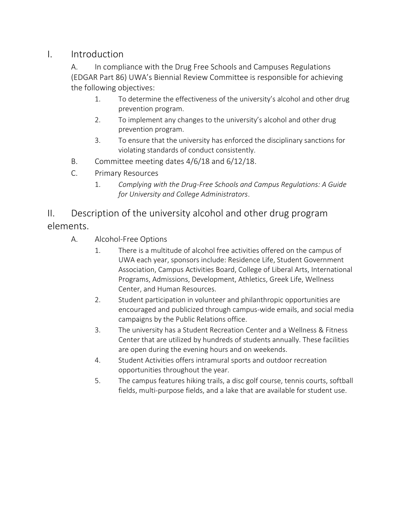## I. Introduction

A. In compliance with the Drug Free Schools and Campuses Regulations (EDGAR Part 86) UWA's Biennial Review Committee is responsible for achieving the following objectives:

- 1. To determine the effectiveness of the university's alcohol and other drug prevention program.
- 2. To implement any changes to the university's alcohol and other drug prevention program.
- 3. To ensure that the university has enforced the disciplinary sanctions for violating standards of conduct consistently.
- B. Committee meeting dates 4/6/18 and 6/12/18.
- C. Primary Resources
	- 1. *Complying with the Drug-Free Schools and Campus Regulations: A Guide for University and College Administrators*.

II. Description of the university alcohol and other drug program elements.

- A. Alcohol-Free Options
	- 1. There is a multitude of alcohol free activities offered on the campus of UWA each year, sponsors include: Residence Life, Student Government Association, Campus Activities Board, College of Liberal Arts, International Programs, Admissions, Development, Athletics, Greek Life, Wellness Center, and Human Resources.
	- 2. Student participation in volunteer and philanthropic opportunities are encouraged and publicized through campus-wide emails, and social media campaigns by the Public Relations office.
	- 3. The university has a Student Recreation Center and a Wellness & Fitness Center that are utilized by hundreds of students annually. These facilities are open during the evening hours and on weekends.
	- 4. Student Activities offers intramural sports and outdoor recreation opportunities throughout the year.
	- 5. The campus features hiking trails, a disc golf course, tennis courts, softball fields, multi-purpose fields, and a lake that are available for student use.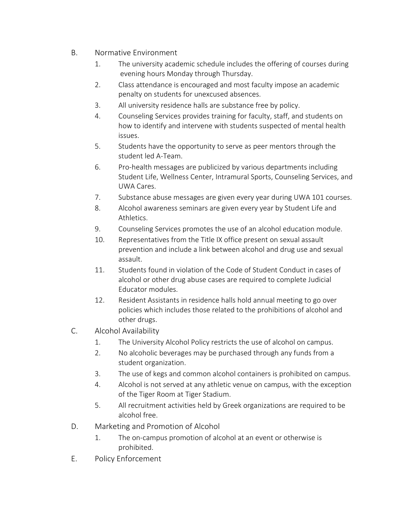- B. Normative Environment
	- 1. The university academic schedule includes the offering of courses during evening hours Monday through Thursday.
	- 2. Class attendance is encouraged and most faculty impose an academic penalty on students for unexcused absences.
	- 3. All university residence halls are substance free by policy.
	- 4. Counseling Services provides training for faculty, staff, and students on how to identify and intervene with students suspected of mental health issues.
	- 5. Students have the opportunity to serve as peer mentors through the student led A-Team.
	- 6. Pro-health messages are publicized by various departments including Student Life, Wellness Center, Intramural Sports, Counseling Services, and UWA Cares.
	- 7. Substance abuse messages are given every year during UWA 101 courses.
	- 8. Alcohol awareness seminars are given every year by Student Life and Athletics.
	- 9. Counseling Services promotes the use of an alcohol education module.
	- 10. Representatives from the Title IX office present on sexual assault prevention and include a link between alcohol and drug use and sexual assault.
	- 11. Students found in violation of the Code of Student Conduct in cases of alcohol or other drug abuse cases are required to complete Judicial Educator modules.
	- 12. Resident Assistants in residence halls hold annual meeting to go over policies which includes those related to the prohibitions of alcohol and other drugs.
- C. Alcohol Availability
	- 1. The University Alcohol Policy restricts the use of alcohol on campus.
	- 2. No alcoholic beverages may be purchased through any funds from a student organization.
	- 3. The use of kegs and common alcohol containers is prohibited on campus.
	- 4. Alcohol is not served at any athletic venue on campus, with the exception of the Tiger Room at Tiger Stadium.
	- 5. All recruitment activities held by Greek organizations are required to be alcohol free.
- D. Marketing and Promotion of Alcohol
	- 1. The on-campus promotion of alcohol at an event or otherwise is prohibited.
- E. Policy Enforcement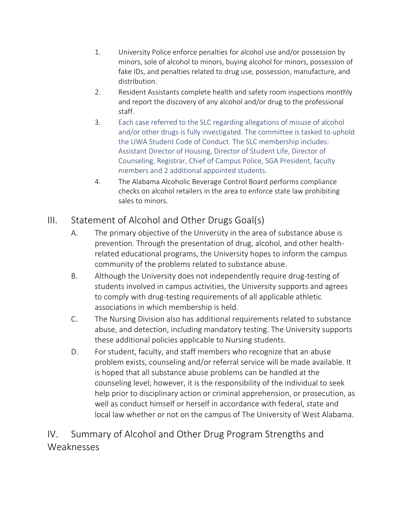- 1. University Police enforce penalties for alcohol use and/or possession by minors, sole of alcohol to minors, buying alcohol for minors, possession of fake IDs, and penalties related to drug use, possession, manufacture, and distribution.
- 2. Resident Assistants complete health and safety room inspections monthly and report the discovery of any alcohol and/or drug to the professional staff.
- 3. Each case referred to the SLC regarding allegations of misuse of alcohol and/or other drugs is fully investigated. The committee is tasked to uphold the UWA Student Code of Conduct. The SLC membership includes: Assistant Director of Housing, Director of Student Life, Director of Counseling, Registrar, Chief of Campus Police, SGA President, faculty members and 2 additional appointed students.
- 4. The Alabama Alcoholic Beverage Control Board performs compliance checks on alcohol retailers in the area to enforce state law prohibiting sales to minors.

## III. Statement of Alcohol and Other Drugs Goal(s)

- A. The primary objective of the University in the area of substance abuse is prevention. Through the presentation of drug, alcohol, and other healthrelated educational programs, the University hopes to inform the campus community of the problems related to substance abuse.
- B. Although the University does not independently require drug-testing of students involved in campus activities, the University supports and agrees to comply with drug-testing requirements of all applicable athletic associations in which membership is held.
- C. The Nursing Division also has additional requirements related to substance abuse, and detection, including mandatory testing. The University supports these additional policies applicable to Nursing students.
- D. For student, faculty, and staff members who recognize that an abuse problem exists, counseling and/or referral service will be made available. It is hoped that all substance abuse problems can be handled at the counseling level; however, it is the responsibility of the individual to seek help prior to disciplinary action or criminal apprehension, or prosecution, as well as conduct himself or herself in accordance with federal, state and local law whether or not on the campus of The University of West Alabama.

## IV. Summary of Alcohol and Other Drug Program Strengths and Weaknesses